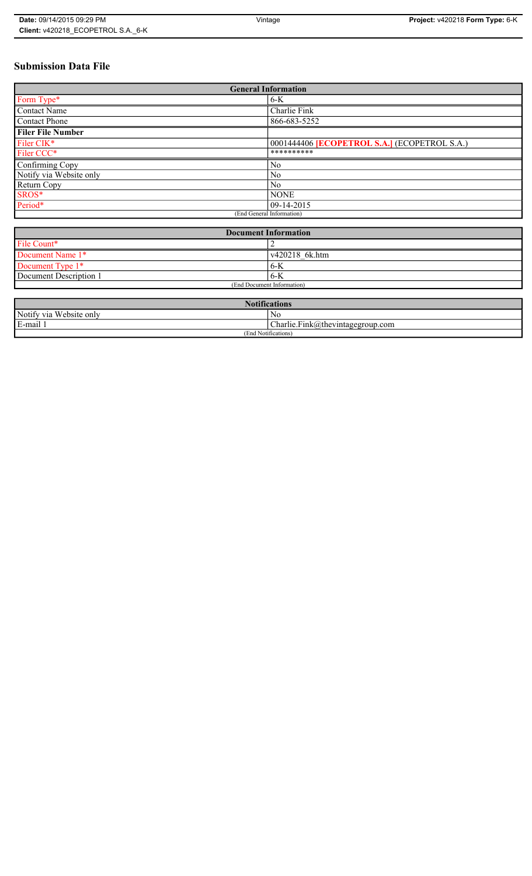## **Submission Data File**

| <b>General Information</b> |                                                   |
|----------------------------|---------------------------------------------------|
| Form Type*                 | $6-K$                                             |
| <b>Contact Name</b>        | Charlie Fink                                      |
| <b>Contact Phone</b>       | 866-683-5252                                      |
| <b>Filer File Number</b>   |                                                   |
| Filer CIK*                 | 0001444406 <b>ECOPETROL S.A.</b> (ECOPETROL S.A.) |
| Filer CCC*                 | **********                                        |
| Confirming Copy            | N <sub>0</sub>                                    |
| Notify via Website only    | N <sub>0</sub>                                    |
| Return Copy                | N <sub>0</sub>                                    |
| SROS*                      | <b>NONE</b>                                       |
| Period*                    | $ 09-14-2015 $                                    |
| (End General Information)  |                                                   |

| <b>Document Information</b> |  |
|-----------------------------|--|
|                             |  |
| v420218 6k.htm              |  |
| 6-K                         |  |
| $6-K$                       |  |
| (End Document Information)  |  |
|                             |  |

| $\mathbf{M}$<br><b>Notifications</b> |                                      |
|--------------------------------------|--------------------------------------|
| Notify via Website only              | No                                   |
| E-mail                               | $ Charlie.Fink@$ thevintagegroup.com |
| (End Notifications)                  |                                      |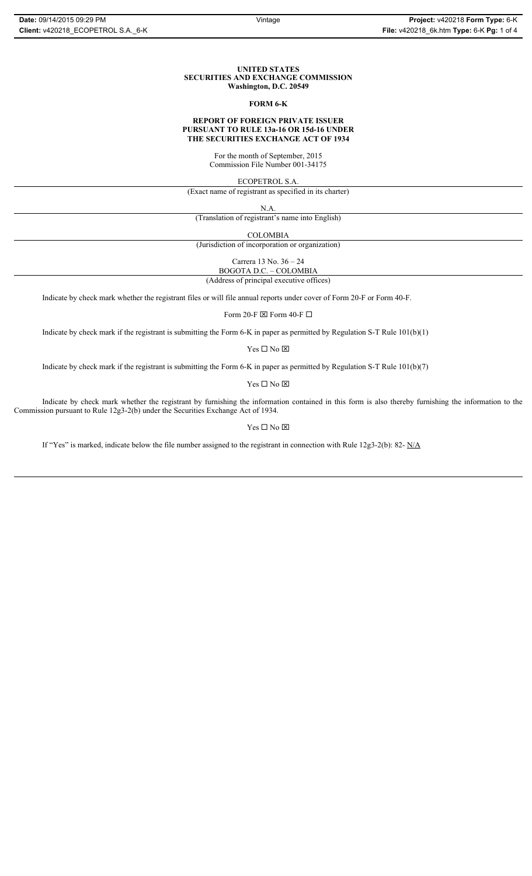#### **UNITED STATES SECURITIES AND EXCHANGE COMMISSION Washington, D.C. 20549**

#### **FORM 6-K**

#### **REPORT OF FOREIGN PRIVATE ISSUER PURSUANT TO RULE 13a-16 OR 15d-16 UNDER THE SECURITIES EXCHANGE ACT OF 1934**

For the month of September, 2015 Commission File Number 001-34175

ECOPETROL S.A.

(Exact name of registrant as specified in its charter)

N.A.

(Translation of registrant's name into English)

COLOMBIA

(Jurisdiction of incorporation or organization)

Carrera 13 No. 36 – 24

BOGOTA D.C. – COLOMBIA

(Address of principal executive offices)

Indicate by check mark whether the registrant files or will file annual reports under cover of Form 20-F or Form 40-F.

Form 20-F  $\boxtimes$  Form 40-F  $\Box$ 

Indicate by check mark if the registrant is submitting the Form 6-K in paper as permitted by Regulation S-T Rule 101(b)(1)

 $\mathbf{Y}\mathbf{es} \ \Box \ \mathbf{No} \ \boxtimes$ 

Indicate by check mark if the registrant is submitting the Form 6-K in paper as permitted by Regulation S-T Rule 101(b)(7)

Yes $\Box$  No  $\boxtimes$ 

Indicate by check mark whether the registrant by furnishing the information contained in this form is also thereby furnishing the information to the Commission pursuant to Rule 12g3-2(b) under the Securities Exchange Act of 1934.

Yes  $\Box$  No  $\boxtimes$ 

If "Yes" is marked, indicate below the file number assigned to the registrant in connection with Rule 12g3-2(b): 82- N/A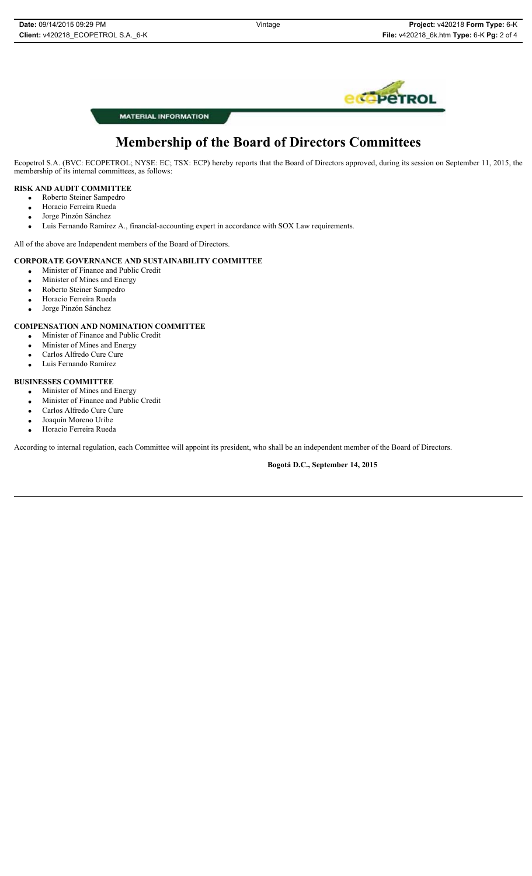

**MATERIAL INFORMATION** 

# **Membership of the Board of Directors Committees**

Ecopetrol S.A. (BVC: ECOPETROL; NYSE: EC; TSX: ECP) hereby reports that the Board of Directors approved, during its session on September 11, 2015, the membership of its internal committees, as follows:

## **RISK AND AUDIT COMMITTEE**

- x Roberto Steiner Sampedro
- Horacio Ferreira Rueda
- Jorge Pinzón Sánchez
- x Luis Fernando Ramírez A., financial-accounting expert in accordance with SOX Law requirements.

All of the above are Independent members of the Board of Directors.

#### **CORPORATE GOVERNANCE AND SUSTAINABILITY COMMITTEE**

- x Minister of Finance and Public Credit
- Minister of Mines and Energy
- Roberto Steiner Sampedro
- **•** Horacio Ferreira Rueda
- Jorge Pinzón Sánchez

#### **COMPENSATION AND NOMINATION COMMITTEE**

- x Minister of Finance and Public Credit
- Minister of Mines and Energy
- Carlos Alfredo Cure Cure
- Luis Fernando Ramírez

#### **BUSINESSES COMMITTEE**

- Minister of Mines and Energy
- Minister of Finance and Public Credit
- Carlos Alfredo Cure Cure
- $\bullet$  Joaquín Moreno Uribe
- Horacio Ferreira Rueda

According to internal regulation, each Committee will appoint its president, who shall be an independent member of the Board of Directors.

**Bogotá D.C., September 14, 2015**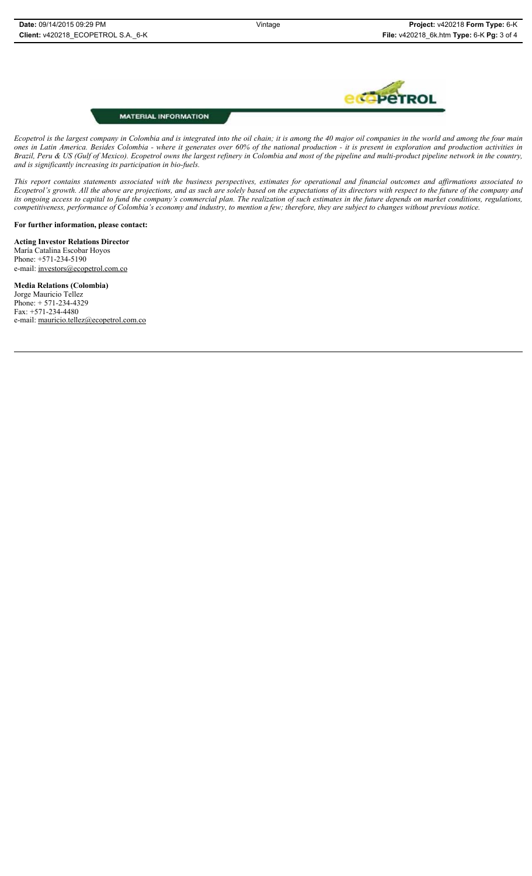

## **MATERIAL INFORMATION**

*Ecopetrol is the largest company in Colombia and is integrated into the oil chain; it is among the 40 major oil companies in the world and among the four main ones in Latin America. Besides Colombia - where it generates over 60% of the national production - it is present in exploration and production activities in Brazil, Peru & US (Gulf of Mexico). Ecopetrol owns the largest refinery in Colombia and most of the pipeline and multi-product pipeline network in the country, and is significantly increasing its participation in bio-fuels.* 

*This report contains statements associated with the business perspectives, estimates for operational and financial outcomes and affirmations associated to Ecopetrol's growth. All the above are projections, and as such are solely based on the expectations of its directors with respect to the future of the company and its ongoing access to capital to fund the company's commercial plan. The realization of such estimates in the future depends on market conditions, regulations, competitiveness, performance of Colombia's economy and industry, to mention a few; therefore, they are subject to changes without previous notice.* 

**For further information, please contact:** 

**Acting Investor Relations Director**  María Catalina Escobar Hoyos Phone: +571-234-5190 e-mail: investors@ecopetrol.com.co

**Media Relations (Colombia)**  Jorge Mauricio Tellez Phone: + 571-234-4329 Fax: +571-234-4480 e-mail: mauricio.tellez@ecopetrol.com.co